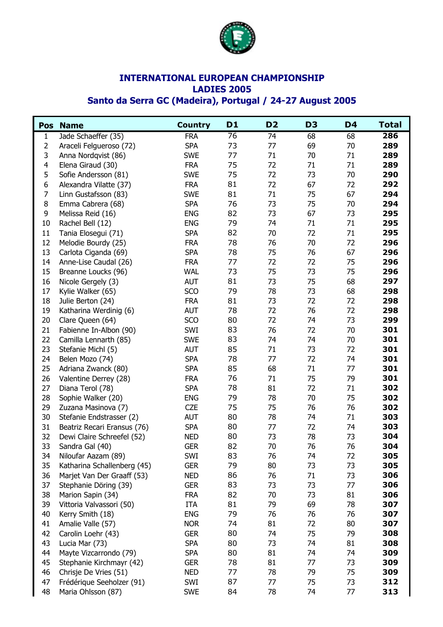

## **INTERNATIONAL EUROPEAN CHAMPIONSHIP LADIES 2005**

## **Santo da Serra GC (Madeira), Portugal / 24-27 August 2005**

| <b>Pos</b>     | <b>Name</b>                 | <b>Country</b> | D1 | D <sub>2</sub>  | D <sub>3</sub> | D <sub>4</sub> | <b>Total</b> |
|----------------|-----------------------------|----------------|----|-----------------|----------------|----------------|--------------|
| $\mathbf{1}$   | Jade Schaeffer (35)         | <b>FRA</b>     | 76 | $\overline{74}$ | 68             | 68             | 286          |
| $\overline{2}$ | Araceli Felgueroso (72)     | <b>SPA</b>     | 73 | 77              | 69             | 70             | 289          |
| 3              | Anna Nordqvist (86)         | <b>SWE</b>     | 77 | 71              | 70             | 71             | 289          |
| $\overline{4}$ | Elena Giraud (30)           | <b>FRA</b>     | 75 | 72              | 71             | 71             | 289          |
| 5              | Sofie Andersson (81)        | <b>SWE</b>     | 75 | 72              | 73             | 70             | 290          |
| 6              | Alexandra Vilatte (37)      | <b>FRA</b>     | 81 | 72              | 67             | 72             | 292          |
| $\overline{7}$ | Linn Gustafsson (83)        | <b>SWE</b>     | 81 | 71              | 75             | 67             | 294          |
| 8              | Emma Cabrera (68)           | <b>SPA</b>     | 76 | 73              | 75             | 70             | 294          |
| 9              | Melissa Reid (16)           | <b>ENG</b>     | 82 | 73              | 67             | 73             | 295          |
| 10             | Rachel Bell (12)            | <b>ENG</b>     | 79 | 74              | 71             | 71             | 295          |
| 11             | Tania Elosegui (71)         | <b>SPA</b>     | 82 | 70              | 72             | 71             | 295          |
| 12             | Melodie Bourdy (25)         | <b>FRA</b>     | 78 | 76              | 70             | 72             | 296          |
| 13             | Carlota Ciganda (69)        | <b>SPA</b>     | 78 | 75              | 76             | 67             | 296          |
| 14             | Anne-Lise Caudal (26)       | <b>FRA</b>     | 77 | 72              | 72             | 75             | 296          |
| 15             | Breanne Loucks (96)         | <b>WAL</b>     | 73 | 75              | 73             | 75             | 296          |
| 16             | Nicole Gergely (3)          | <b>AUT</b>     | 81 | 73              | 75             | 68             | 297          |
| 17             | Kylie Walker (65)           | SCO            | 79 | 78              | 73             | 68             | 298          |
| 18             | Julie Berton (24)           | <b>FRA</b>     | 81 | 73              | 72             | 72             | 298          |
| 19             | Katharina Werdinig (6)      | <b>AUT</b>     | 78 | 72              | 76             | 72             | 298          |
| 20             | Clare Queen (64)            | SCO            | 80 | 72              | 74             | 73             | 299          |
| 21             | Fabienne In-Albon (90)      | SWI            | 83 | 76              | 72             | 70             | 301          |
| 22             | Camilla Lennarth (85)       | <b>SWE</b>     | 83 | 74              | 74             | 70             | 301          |
| 23             | Stefanie Michl (5)          | <b>AUT</b>     | 85 | 71              | 73             | 72             | 301          |
| 24             | Belen Mozo (74)             | <b>SPA</b>     | 78 | 77              | 72             | 74             | 301          |
| 25             | Adriana Zwanck (80)         | <b>SPA</b>     | 85 | 68              | 71             | 77             | 301          |
| 26             | Valentine Derrey (28)       | <b>FRA</b>     | 76 | 71              | 75             | 79             | 301          |
| 27             | Diana Terol (78)            | <b>SPA</b>     | 78 | 81              | 72             | 71             | 302          |
| 28             | Sophie Walker (20)          | <b>ENG</b>     | 79 | 78              | 70             | 75             | 302          |
| 29             | Zuzana Masinova (7)         | <b>CZE</b>     | 75 | 75              | 76             | 76             | 302          |
| 30             | Stefanie Endstrasser (2)    | <b>AUT</b>     | 80 | 78              | 74             | 71             | 303          |
| 31             | Beatriz Recari Eransus (76) | <b>SPA</b>     | 80 | 77              | 72             | 74             | 303          |
| 32             | Dewi Claire Schreefel (52)  | <b>NED</b>     | 80 | 73              | 78             | 73             | 304          |
| 33             | Sandra Gal (40)             | <b>GER</b>     | 82 | 70              | 76             | 76             | 304          |
| 34             | Niloufar Aazam (89)         | SWI            | 83 | 76              | 74             | 72             | 305          |
| 35             | Katharina Schallenberg (45) | <b>GER</b>     | 79 | 80              | 73             | 73             | 305          |
| 36             | Marjet Van Der Graaff (53)  | <b>NED</b>     | 86 | 76              | 71             | 73             | 306          |
| 37             | Stephanie Döring (39)       | <b>GER</b>     | 83 | 73              | 73             | 77             | 306          |
| 38             | Marion Sapin (34)           | <b>FRA</b>     | 82 | 70              | 73             | 81             | 306          |
| 39             | Vittoria Valvassori (50)    | <b>ITA</b>     | 81 | 79              | 69             | 78             | 307          |
| 40             | Kerry Smith (18)            | <b>ENG</b>     | 79 | 76              | 76             | 76             | 307          |
| 41             | Amalie Valle (57)           | <b>NOR</b>     | 74 | 81              | 72             | 80             | 307          |
| 42             | Carolin Loehr (43)          | <b>GER</b>     | 80 | 74              | 75             | 79             | 308          |
| 43             | Lucia Mar (73)              | <b>SPA</b>     | 80 | 73              | 74             | 81             | 308          |
| 44             | Mayte Vizcarrondo (79)      | <b>SPA</b>     | 80 | 81              | 74             | 74             | 309          |
| 45             | Stephanie Kirchmayr (42)    | <b>GER</b>     | 78 | 81              | 77             | 73             | 309          |
| 46             | Chrisje De Vries (51)       | <b>NED</b>     | 77 | 78              | 79             | 75             | 309          |
| 47             | Frédérique Seeholzer (91)   | SWI            | 87 | 77              | 75             | 73             | 312          |
| 48             | Maria Ohlsson (87)          | <b>SWE</b>     | 84 | 78              | 74             | 77             | 313          |